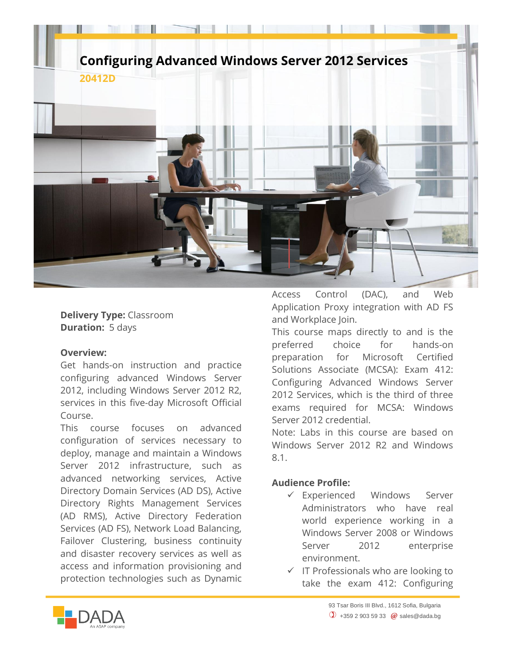

**Delivery Type:** Classroom **Duration:** 5 days

## **Overview:**

Get hands-on instruction and practice configuring advanced Windows Server 2012, including Windows Server 2012 R2, services in this five-day Microsoft Official Course.

This course focuses on advanced configuration of services necessary to deploy, manage and maintain a Windows Server 2012 infrastructure, such as advanced networking services, Active Directory Domain Services (AD DS), Active Directory Rights Management Services (AD RMS), Active Directory Federation Services (AD FS), Network Load Balancing, Failover Clustering, business continuity and disaster recovery services as well as access and information provisioning and protection technologies such as Dynamic Access Control (DAC), and Web Application Proxy integration with AD FS and Workplace Join.

This course maps directly to and is the preferred choice for hands-on preparation for Microsoft Certified Solutions Associate (MCSA): Exam 412: Configuring Advanced Windows Server 2012 Services, which is the third of three exams required for MCSA: Windows Server 2012 credential.

Note: Labs in this course are based on Windows Server 2012 R2 and Windows 8.1.

## **Audience Profile:**

- Experienced Windows Server Administrators who have real world experience working in a Windows Server 2008 or Windows Server 2012 enterprise environment.
- $\checkmark$  IT Professionals who are looking to take the exam 412: Configuring